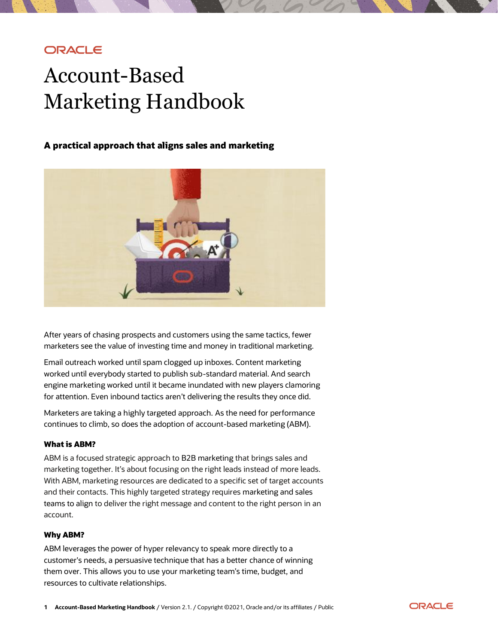# **ORACLE**

# Account-Based Marketing Handbook

# **A practical approach that aligns sales and marketing**



 After years of chasing prospects and customers using the same tactics, fewer marketers see the value of investing time and money in traditional marketing.

 Email outreach worked until spam clogged up inboxes. Content marketing worked until everybody started to publish sub-standard material. And search engine marketing worked until it became inundated with new players clamoring for attention. Even inbound tactics aren't delivering the results they once did.

 Marketers are taking a highly targeted approach. As the need for performance continues to climb, so does the adoption of account-based marketing (ABM).

### What is ABM?

 ABM is a focused strategic approach to B2B marketing that brings sales and marketing together. It's about focusing on the right leads instead of more leads. With ABM, marketing resources are dedicated to a specific set of target accounts and their contacts. This highly targeted strategy requires marketing and sales teams to align to deliver the right message and content to the right person in an account.

### Why ABM?

 ABM leverages the power of hyper relevancy to speak more directly to a customer's needs, a persuasive technique that has a better chance of winning them over. This allows you to use your marketing team's time, budget, and resources to cultivate relationships.

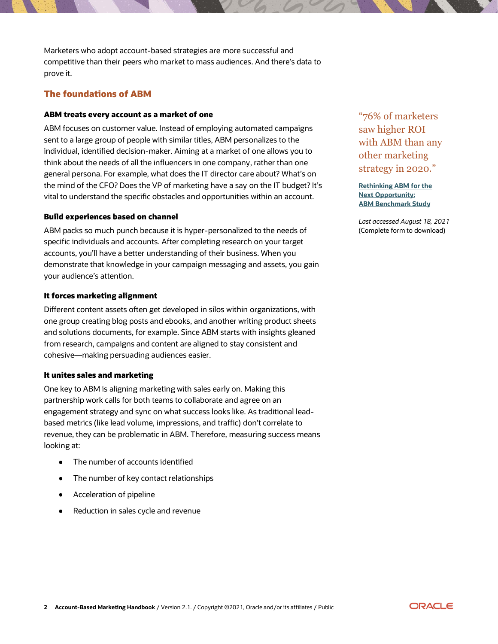Marketers who adopt account-based strategies are more successful and competitive than their peers who market to mass audiences. And there's data to prove it.

# The foundations of ABM

#### ABM treats every account as a market of one

 ABM focuses on customer value. Instead of employing automated campaigns sent to a large group of people with similar titles, ABM personalizes to the individual, identified decision-maker. Aiming at a market of one allows you to think about the needs of all the influencers in one company, rather than one general persona. For example, what does the IT director care about? What's on the mind of the CFO? Does the VP of marketing have a say on the IT budget? It's vital to understand the specific obstacles and opportunities within an account.

#### Build experiences based on channel

 ABM packs so much punch because it is hyper-personalized to the needs of specific individuals and accounts. After completing research on your target accounts, you'll have a better understanding of their business. When you demonstrate that knowledge in your campaign messaging and assets, you gain your audience's attention.

#### It forces marketing alignment

 Different content assets often get developed in silos within organizations, with one group creating blog posts and ebooks, and another writing product sheets and solutions documents, for example. Since ABM starts with insights gleaned from research, campaigns and content are aligned to stay consistent and cohesive—making persuading audiences easier.

#### It unites sales and marketing

 One key to ABM is aligning marketing with sales early on. Making this partnership work calls for both teams to collaborate and agree on an engagement strategy and sync on what success looks like. As traditional lead- based metrics (like lead volume, impressions, and traffic) don't correlate to revenue, they can be problematic in ABM. Therefore, measuring success means looking at:

- The number of accounts identified
- The number of key contact relationships
- $\bullet$ Acceleration of pipeline
- Reduction in sales cycle and revenue

 "76% of marketers saw higher ROI with ABM than any other marketing strategy in 2020."

 **[Rethinking](https://abmleadershipalliance.com/ebook/rethinking-abm-2020-benchmark-study/) ABM for the Next [Opportunity:](https://abmleadershipalliance.com/ebook/rethinking-abm-2020-benchmark-study/) ABM [Benchmark](https://abmleadershipalliance.com/ebook/rethinking-abm-2020-benchmark-study/) Study**

 *Last accessed August 18, 2021* (Complete form to download)

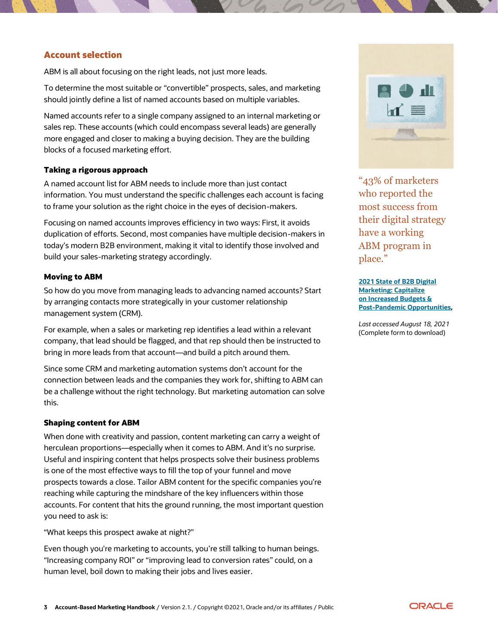# Account selection

ABM is all about focusing on the right leads, not just more leads.

 To determine the most suitable or "convertible" prospects, sales, and marketing should jointly define a list of named accounts based on multiple variables.

 Named accounts refer to a single company assigned to an internal marketing or sales rep. These accounts (which could encompass several leads) are generally more engaged and closer to making a buying decision. They are the building blocks of a focused marketing effort.

#### Taking a rigorous approach

 A named account list for ABM needs to include more than just contact information. You must understand the specific challenges each account is facing to frame your solution as the right choice in the eyes of decision-makers.

 Focusing on named accounts improves efficiency in two ways: First, it avoids duplication of efforts. Second, most companies have multiple decision-makers in today's modern B2B environment, making it vital to identify those involved and build your sales-marketing strategy accordingly.

#### Moving to ABM

 So how do you move from managing leads to advancing named accounts? Start by arranging contacts more strategically in your customer relationship management system (CRM).

 For example, when a sales or marketing rep identifies a lead within a relevant company, that lead should be flagged, and that rep should then be instructed to bring in more leads from that account—and build a pitch around them.

 Since some CRM and marketing automation systems don't account for the connection between leads and the companies they work for, shifting to ABM can be a challenge without the right technology. But marketing automation can solve this.

#### Shaping content for ABM

 When done with creativity and passion, content marketing can carry a weight of herculean proportions—especially when it comes to ABM. And it's no surprise. Useful and inspiring content that helps prospects solve their business problems is one of the most effective ways to fill the top of your funnel and move prospects towards a close. Tailor ABM content for the specific companies you're reaching while capturing the mindshare of the key influencers within those accounts. For content that hits the ground running, the most important question you need to ask is:

"What keeps this prospect awake at night?"

 Even though you're marketing to accounts, you're still talking to human beings. "Increasing company ROI" or "improving lead to conversion rates" could, on a human level, boil down to making their jobs and lives easier.



 "43% of marketers who reported the most success from their digital strategy have a working ABM program in place."

 **2021 State of B2B [Digital](https://www.wpromote.com/report/2021-b2b-digital-marketing-trend-report) [on Increased](https://www.wpromote.com/report/2021-b2b-digital-marketing-trend-report) Budgets & [Marketing:](https://www.wpromote.com/report/2021-b2b-digital-marketing-trend-report) Capitalize [Post-Pandemic](https://www.wpromote.com/report/2021-b2b-digital-marketing-trend-report) Opportunities,**

 *Last accessed August 18, 2021* (Complete form to download)

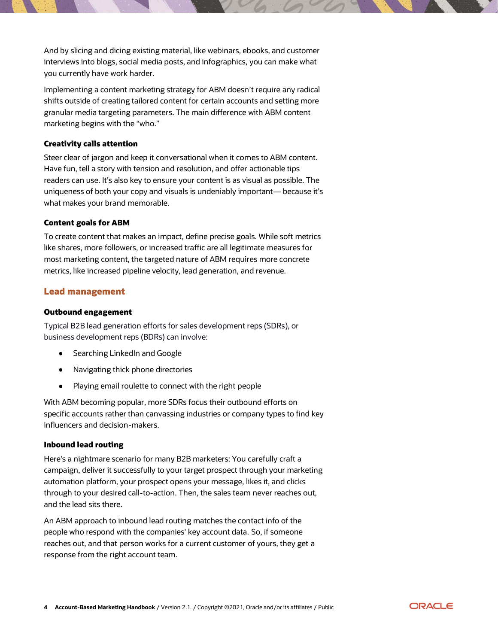And by slicing and dicing existing material, like webinars, ebooks, and customer interviews into blogs, social media posts, and infographics, you can make what you currently have work harder.

 Implementing a content marketing strategy for ABM doesn't require any radical shifts outside of creating tailored content for certain accounts and setting more granular media targeting parameters. The main difference with ABM content marketing begins with the "who."

## Creativity calls attention

 Steer clear of jargon and keep it conversational when it comes to ABM content. Have fun, tell a story with tension and resolution, and offer actionable tips readers can use. It's also key to ensure your content is as visual as possible. The uniqueness of both your copy and visuals is undeniably important— because it's what makes your brand memorable.

## Content goals for ABM

 To create content that makes an impact, define precise goals. While soft metrics like shares, more followers, or increased traffic are all legitimate measures for most marketing content, the targeted nature of ABM requires more concrete metrics, like increased pipeline velocity, lead generation, and revenue.

# Lead management

### Outbound engagement

 Typical B2B lead generation efforts for sales development reps (SDRs), or business development reps (BDRs) can involve:

- Searching LinkedIn and Google
- Navigating thick phone directories
- $\bullet$ Playing email roulette to connect with the right people

 With ABM becoming popular, more SDRs focus their outbound efforts on specific accounts rather than canvassing industries or company types to find key influencers and decision-makers.

### Inbound lead routing

 Here's a nightmare scenario for many B2B marketers: You carefully craft a campaign, deliver it successfully to your target prospect through your marketing automation platform, your prospect opens your message, likes it, and clicks through to your desired call-to-action. Then, the sales team never reaches out, and the lead sits there.

 An ABM approach to inbound lead routing matches the contact info of the people who respond with the companies' key account data. So, if someone reaches out, and that person works for a current customer of yours, they get a response from the right account team.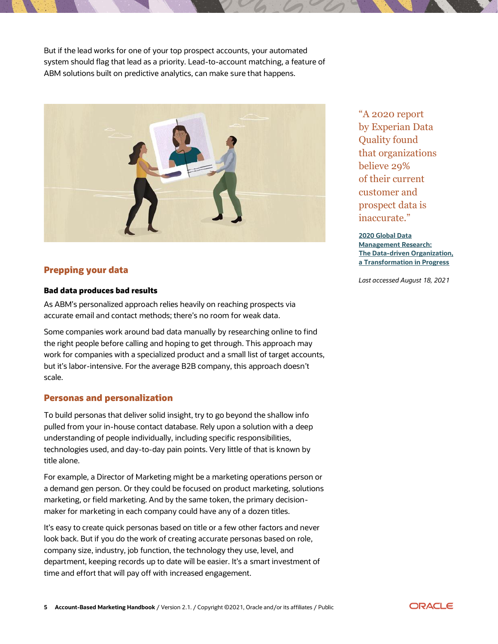But if the lead works for one of your top prospect accounts, your automated system should flag that lead as a priority. Lead-to-account matching, a feature of ABM solutions built on predictive analytics, can make sure that happens.



# Prepping your data

### Bad data produces bad results

 As ABM's personalized approach relies heavily on reaching prospects via accurate email and contact methods; there's no room for weak data.

 Some companies work around bad data manually by researching online to find the right people before calling and hoping to get through. This approach may work for companies with a specialized product and a small list of target accounts, but it's labor-intensive. For the average B2B company, this approach doesn't scale.

### Personas and personalization

 To build personas that deliver solid insight, try to go beyond the shallow info pulled from your in-house contact database. Rely upon a solution with a deep understanding of people individually, including specific responsibilities, technologies used, and day-to-day pain points. Very little of that is known by title alone.

 For example, a Director of Marketing might be a marketing operations person or a demand gen person. Or they could be focused on product marketing, solutions marketing, or field marketing. And by the same token, the primary decision-maker for marketing in each company could have any of a dozen titles.

 It's easy to create quick personas based on title or a few other factors and never look back. But if you do the work of creating accurate personas based on role, company size, industry, job function, the technology they use, level, and department, keeping records up to date will be easier. It's a smart investment of time and effort that will pay off with increased engagement.

 "A 2020 report by Experian Data of their current customer and prospect data is Quality found that organizations believe 29% inaccurate."

 **2020 [Global](https://thedataliteracyproject.org/app/default/files-module/local/downloads/2020-global-data-management-research.pdf) Data [Management](https://thedataliteracyproject.org/app/default/files-module/local/downloads/2020-global-data-management-research.pdf) Research: [The Data-driven Organization,](https://thedataliteracyproject.org/app/default/files-module/local/downloads/2020-global-data-management-research.pdf) a [Transformation in Progress](https://thedataliteracyproject.org/app/default/files-module/local/downloads/2020-global-data-management-research.pdf)**

 *Last accessed August 18, 2021*

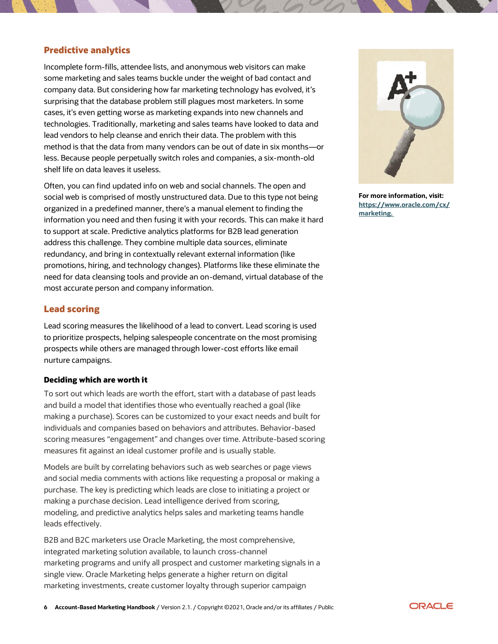## Predictive analytics

 Incomplete form-fills, attendee lists, and anonymous web visitors can make some marketing and sales teams buckle under the weight of bad contact and company data. But considering how far marketing technology has evolved, it's surprising that the database problem still plagues most marketers. In some cases, it's even getting worse as marketing expands into new channels and technologies. Traditionally, marketing and sales teams have looked to data and lead vendors to help cleanse and enrich their data. The problem with this method is that the data from many vendors can be out of date in six months—or less. Because people perpetually switch roles and companies, a six-month-old shelf life on data leaves it useless.

 Often, you can find updated info on web and social channels. The open and social web is comprised of mostly unstructured data. Due to this type not being organized in a predefined manner, there's a manual element to finding the information you need and then fusing it with your records. This can make it hard to support at scale. Predictive analytics platforms for B2B lead generation address this challenge. They combine multiple data sources, eliminate redundancy, and bring in contextually relevant external information (like promotions, hiring, and technology changes). Platforms like these eliminate the need for data cleansing tools and provide an on-demand, virtual database of the most accurate person and company information.

## Lead scoring

 Lead scoring measures the likelihood of a lead to convert. Lead scoring is used to prioritize prospects, helping salespeople concentrate on the most promising prospects while others are managed through lower-cost efforts like email nurture campaigns.

#### Deciding which are worth it

 To sort out which leads are worth the effort, start with a database of past leads and build a model that identifies those who eventually reached a goal (like making a purchase). Scores can be customized to your exact needs and built for individuals and companies based on behaviors and attributes. Behavior-based scoring measures "engagement" and changes over time. Attribute-based scoring measures fit against an ideal customer profile and is usually stable.

 Models are built by correlating behaviors such as web searches or page views and social media comments with actions like requesting a proposal or making a purchase. The key is predicting which leads are close to initiating a project or making a purchase decision. Lead intelligence derived from scoring, modeling, and predictive analytics helps sales and marketing teams handle leads effectively.

 B2B and B2C marketers use Oracle Marketing, the most comprehensive, integrated marketing solution available, to launch cross-channel marketing programs and unify all prospect and customer marketing signals in a single view. Oracle Marketing helps generate a higher return on digital marketing investments, create customer loyalty through superior campaign



 **For more information, visit: [https://www.oracle.com/cx/](https://www.oracle.com/cx/marketing) [marketing.](https://www.oracle.com/cx/marketing)**